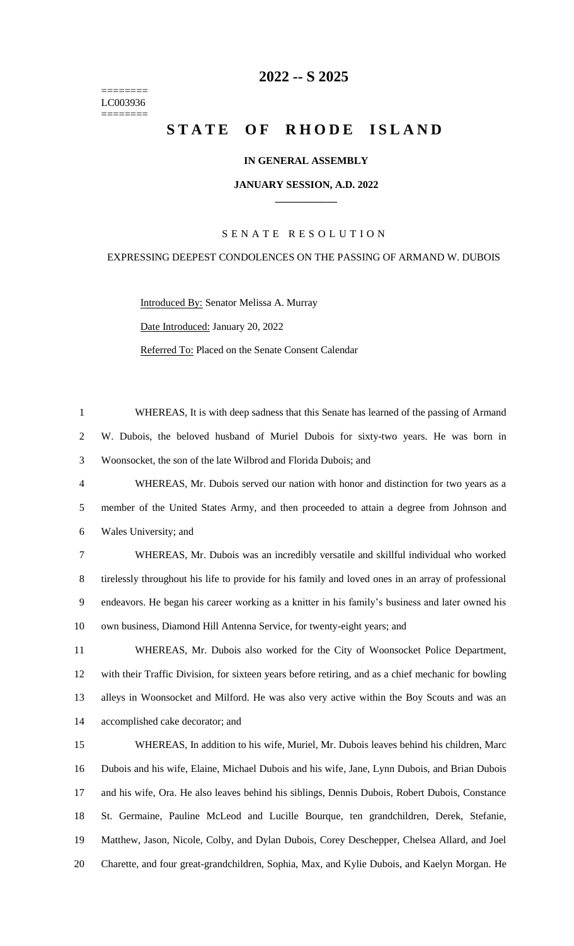======== LC003936 ========

# **-- S 2025**

# **STATE OF RHODE ISLAND**

# **IN GENERAL ASSEMBLY**

#### **JANUARY SESSION, A.D. 2022 \_\_\_\_\_\_\_\_\_\_\_\_**

# S E N A T E R E S O L U T I O N

## EXPRESSING DEEPEST CONDOLENCES ON THE PASSING OF ARMAND W. DUBOIS

Introduced By: Senator Melissa A. Murray Date Introduced: January 20, 2022 Referred To: Placed on the Senate Consent Calendar

 WHEREAS, It is with deep sadness that this Senate has learned of the passing of Armand W. Dubois, the beloved husband of Muriel Dubois for sixty-two years. He was born in Woonsocket, the son of the late Wilbrod and Florida Dubois; and

 WHEREAS, Mr. Dubois served our nation with honor and distinction for two years as a member of the United States Army, and then proceeded to attain a degree from Johnson and Wales University; and

 WHEREAS, Mr. Dubois was an incredibly versatile and skillful individual who worked tirelessly throughout his life to provide for his family and loved ones in an array of professional endeavors. He began his career working as a knitter in his family's business and later owned his own business, Diamond Hill Antenna Service, for twenty-eight years; and

 WHEREAS, Mr. Dubois also worked for the City of Woonsocket Police Department, with their Traffic Division, for sixteen years before retiring, and as a chief mechanic for bowling alleys in Woonsocket and Milford. He was also very active within the Boy Scouts and was an accomplished cake decorator; and

 WHEREAS, In addition to his wife, Muriel, Mr. Dubois leaves behind his children, Marc Dubois and his wife, Elaine, Michael Dubois and his wife, Jane, Lynn Dubois, and Brian Dubois and his wife, Ora. He also leaves behind his siblings, Dennis Dubois, Robert Dubois, Constance St. Germaine, Pauline McLeod and Lucille Bourque, ten grandchildren, Derek, Stefanie, Matthew, Jason, Nicole, Colby, and Dylan Dubois, Corey Deschepper, Chelsea Allard, and Joel Charette, and four great-grandchildren, Sophia, Max, and Kylie Dubois, and Kaelyn Morgan. He